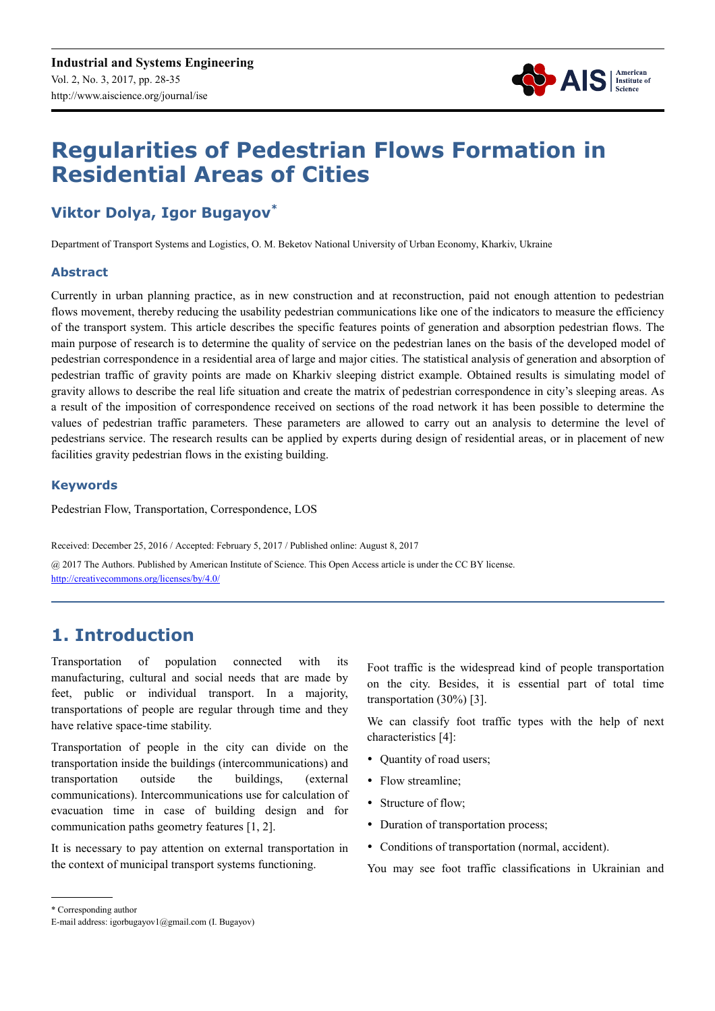

# **Regularities of Pedestrian Flows Formation in Residential Areas of Cities**

# **Viktor Dolya, Igor Bugayov\***

Department of Transport Systems and Logistics, O. M. Beketov National University of Urban Economy, Kharkiv, Ukraine

#### **Abstract**

Currently in urban planning practice, as in new construction and at reconstruction, paid not enough attention to pedestrian flows movement, thereby reducing the usability pedestrian communications like one of the indicators to measure the efficiency of the transport system. This article describes the specific features points of generation and absorption pedestrian flows. The main purpose of research is to determine the quality of service on the pedestrian lanes on the basis of the developed model of pedestrian correspondence in a residential area of large and major cities. The statistical analysis of generation and absorption of pedestrian traffic of gravity points are made on Kharkiv sleeping district example. Obtained results is simulating model of gravity allows to describe the real life situation and create the matrix of pedestrian correspondence in city's sleeping areas. As a result of the imposition of correspondence received on sections of the road network it has been possible to determine the values of pedestrian traffic parameters. These parameters are allowed to carry out an analysis to determine the level of pedestrians service. The research results can be applied by experts during design of residential areas, or in placement of new facilities gravity pedestrian flows in the existing building.

#### **Keywords**

Pedestrian Flow, Transportation, Correspondence, LOS

Received: December 25, 2016 / Accepted: February 5, 2017 / Published online: August 8, 2017

@ 2017 The Authors. Published by American Institute of Science. This Open Access article is under the CC BY license. http://creativecommons.org/licenses/by/4.0/

# **1. Introduction**

Transportation of population connected with its manufacturing, cultural and social needs that are made by feet, public or individual transport. In a majority, transportations of people are regular through time and they have relative space-time stability.

Transportation of people in the city can divide on the transportation inside the buildings (intercommunications) and transportation outside the buildings, (external communications). Intercommunications use for calculation of evacuation time in case of building design and for communication paths geometry features [1, 2].

It is necessary to pay attention on external transportation in the context of municipal transport systems functioning.

Foot traffic is the widespread kind of people transportation on the city. Besides, it is essential part of total time transportation (30%) [3].

We can classify foot traffic types with the help of next characteristics [4]:

- Quantity of road users;
- Flow streamline;
- Structure of flow;
- Duration of transportation process;
- Conditions of transportation (normal, accident).

You may see foot traffic classifications in Ukrainian and

<sup>\*</sup> Corresponding author

E-mail address: igorbugayov1@gmail.com (I. Bugayov)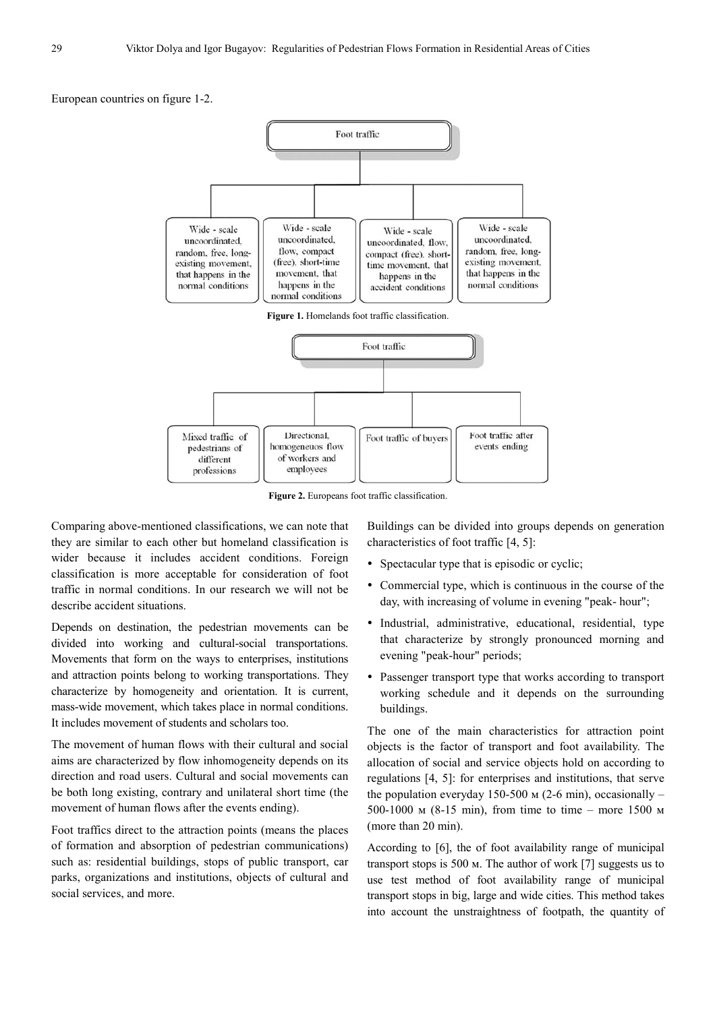European countries on figure 1-2.



**Figure 2.** Europeans foot traffic classification.

Comparing above-mentioned classifications, we can note that they are similar to each other but homeland classification is wider because it includes accident conditions. Foreign classification is more acceptable for consideration of foot traffic in normal conditions. In our research we will not be describe accident situations.

Depends on destination, the pedestrian movements can be divided into working and cultural-social transportations. Movements that form on the ways to enterprises, institutions and attraction points belong to working transportations. They characterize by homogeneity and orientation. It is current, mass-wide movement, which takes place in normal conditions. It includes movement of students and scholars too.

The movement of human flows with their cultural and social aims are characterized by flow inhomogeneity depends on its direction and road users. Cultural and social movements can be both long existing, contrary and unilateral short time (the movement of human flows after the events ending).

Foot traffics direct to the attraction points (means the places of formation and absorption of pedestrian communications) such as: residential buildings, stops of public transport, car parks, organizations and institutions, objects of cultural and social services, and more.

Buildings can be divided into groups depends on generation characteristics of foot traffic [4, 5]:

- Spectacular type that is episodic or cyclic;
- Commercial type, which is continuous in the course of the day, with increasing of volume in evening "peak- hour";
- Industrial, administrative, educational, residential, type that characterize by strongly pronounced morning and evening "peak-hour" periods;
- Passenger transport type that works according to transport working schedule and it depends on the surrounding buildings.

The one of the main characteristics for attraction point objects is the factor of transport and foot availability. The allocation of social and service objects hold on according to regulations [4, 5]: for enterprises and institutions, that serve the population everyday 150-500 м (2-6 min), occasionally – 500-1000 м (8-15 min), from time to time – more 1500 м (more than 20 min).

According to [6], the of foot availability range of municipal transport stops is 500 м. The author of work [7] suggests us to use test method of foot availability range of municipal transport stops in big, large and wide cities. This method takes into account the unstraightness of footpath, the quantity of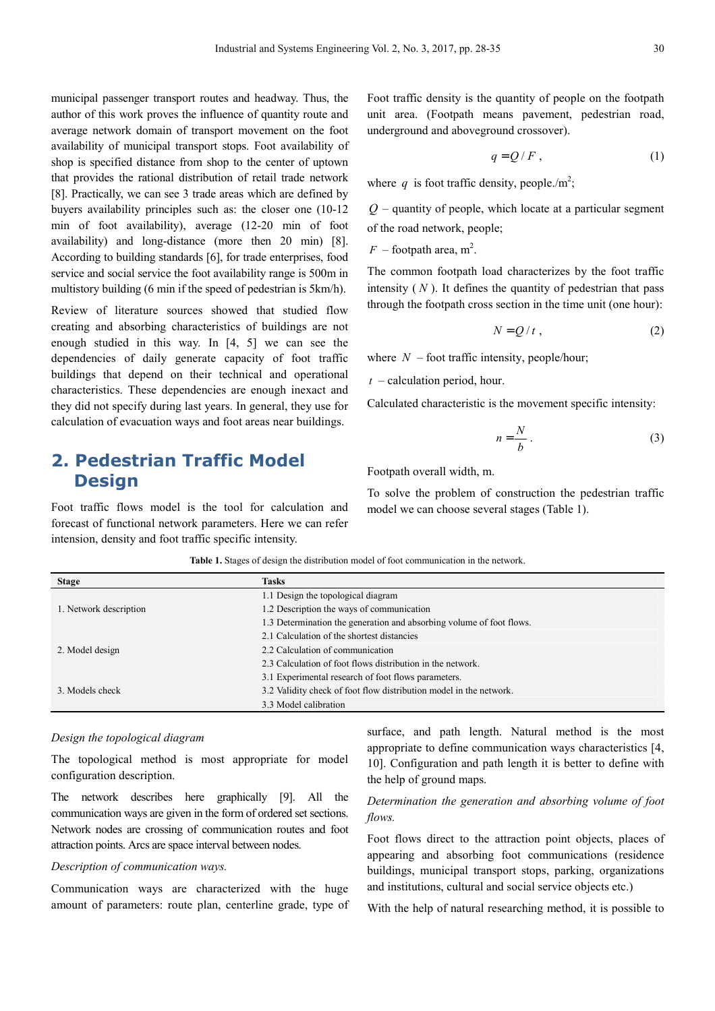municipal passenger transport routes and headway. Thus, the author of this work proves the influence of quantity route and average network domain of transport movement on the foot availability of municipal transport stops. Foot availability of shop is specified distance from shop to the center of uptown that provides the rational distribution of retail trade network [8]. Practically, we can see 3 trade areas which are defined by buyers availability principles such as: the closer one (10-12 min of foot availability), average (12-20 min of foot availability) and long-distance (more then 20 min) [8]. According to building standards [6], for trade enterprises, food service and social service the foot availability range is 500m in multistory building (6 min if the speed of pedestrian is 5km/h).

Review of literature sources showed that studied flow creating and absorbing characteristics of buildings are not enough studied in this way. In [4, 5] we can see the dependencies of daily generate capacity of foot traffic buildings that depend on their technical and operational characteristics. These dependencies are enough inexact and they did not specify during last years. In general, they use for calculation of evacuation ways and foot areas near buildings.

## **2. Pedestrian Traffic Model Design**

Foot traffic flows model is the tool for calculation and forecast of functional network parameters. Here we can refer intension, density and foot traffic specific intensity.

Foot traffic density is the quantity of people on the footpath unit area. (Footpath means pavement, pedestrian road, underground and aboveground crossover).

$$
q = Q/F, \tag{1}
$$

where q is foot traffic density, people./m<sup>2</sup>;

*Q* – quantity of people, which locate at a particular segment of the road network, people;

 $F$  – footpath area, m<sup>2</sup>.

The common footpath load characterizes by the foot traffic intensity  $(N)$ . It defines the quantity of pedestrian that pass through the footpath cross section in the time unit (one hour):

$$
N = Q/t , \t\t(2)
$$

where  $N$  – foot traffic intensity, people/hour;

*t* – calculation period, hour.

Calculated characteristic is the movement specific intensity:

$$
n = \frac{N}{b} \,. \tag{3}
$$

Footpath overall width, m.

To solve the problem of construction the pedestrian traffic model we can choose several stages (Table 1).

| <b>Stage</b>           | <b>Tasks</b>                                                         |  |  |  |
|------------------------|----------------------------------------------------------------------|--|--|--|
|                        | 1.1 Design the topological diagram                                   |  |  |  |
| 1. Network description | 1.2 Description the ways of communication                            |  |  |  |
|                        | 1.3 Determination the generation and absorbing volume of foot flows. |  |  |  |
|                        | 2.1 Calculation of the shortest distancies                           |  |  |  |
| 2. Model design        | 2.2 Calculation of communication                                     |  |  |  |
|                        | 2.3 Calculation of foot flows distribution in the network.           |  |  |  |
|                        | 3.1 Experimental research of foot flows parameters.                  |  |  |  |
| 3. Models check        | 3.2 Validity check of foot flow distribution model in the network.   |  |  |  |
|                        | 3.3 Model calibration                                                |  |  |  |

**Table 1.** Stages of design the distribution model of foot communication in the network.

#### *Design the topological diagram*

The topological method is most appropriate for model configuration description.

The network describes here graphically [9]. All the communication ways are given in the form of ordered set sections. Network nodes are crossing of communication routes and foot attraction points. Arcs are space interval between nodes.

#### *Description of communication ways.*

Communication ways are characterized with the huge amount of parameters: route plan, centerline grade, type of surface, and path length. Natural method is the most appropriate to define communication ways characteristics [4, 10]. Configuration and path length it is better to define with the help of ground maps.

#### *Determination the generation and absorbing volume of foot flows.*

Foot flows direct to the attraction point objects, places of appearing and absorbing foot communications (residence buildings, municipal transport stops, parking, organizations and institutions, cultural and social service objects etc.)

With the help of natural researching method, it is possible to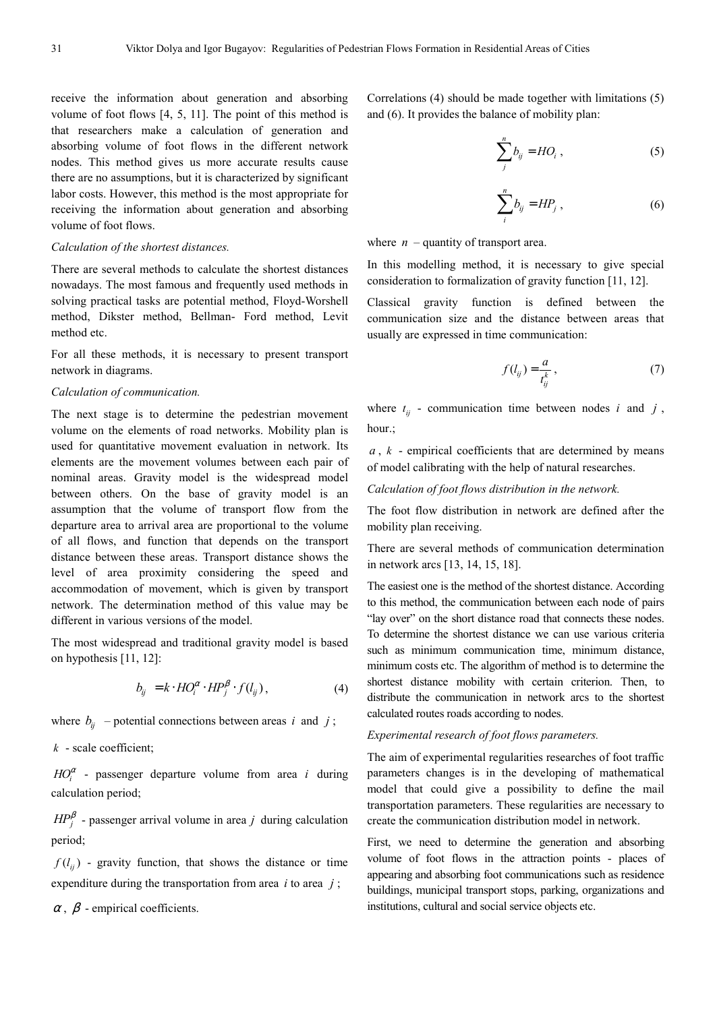receive the information about generation and absorbing volume of foot flows [4, 5, 11]. The point of this method is that researchers make a calculation of generation and absorbing volume of foot flows in the different network nodes. This method gives us more accurate results cause there are no assumptions, but it is characterized by significant labor costs. However, this method is the most appropriate for receiving the information about generation and absorbing volume of foot flows.

#### *Calculation of the shortest distances.*

There are several methods to calculate the shortest distances nowadays. The most famous and frequently used methods in solving practical tasks are potential method, Floyd-Worshell method, Dikster method, Bellman- Ford method, Levit method etc.

For all these methods, it is necessary to present transport network in diagrams.

#### *Calculation of communication.*

The next stage is to determine the pedestrian movement volume on the elements of road networks. Mobility plan is used for quantitative movement evaluation in network. Its elements are the movement volumes between each pair of nominal areas. Gravity model is the widespread model between others. On the base of gravity model is an assumption that the volume of transport flow from the departure area to arrival area are proportional to the volume of all flows, and function that depends on the transport distance between these areas. Transport distance shows the level of area proximity considering the speed and accommodation of movement, which is given by transport network. The determination method of this value may be different in various versions of the model.

The most widespread and traditional gravity model is based on hypothesis [11, 12]:

$$
b_{ij} = k \cdot HO_i^{\alpha} \cdot HP_j^{\beta} \cdot f(l_{ij}), \qquad (4)
$$

where  $b_{ij}$  – potential connections between areas *i* and *j*;

*k* - scale coefficient;

 $HO_i^{\alpha}$  - passenger departure volume from area *i* during calculation period;

 $HP_j^{\beta}$  - passenger arrival volume in area *j* during calculation period;

 $f(l_{ii})$  - gravity function, that shows the distance or time expenditure during the transportation from area *i* to area *j* ;

 $\alpha$ ,  $\beta$  - empirical coefficients.

Correlations (4) should be made together with limitations (5) and (6). It provides the balance of mobility plan:

$$
\sum_{j}^{n} b_{ij} = HO_i , \qquad (5)
$$

$$
\sum_{i}^{n} b_{ij} = H P_j , \qquad (6)
$$

where  $n$  – quantity of transport area.

In this modelling method, it is necessary to give special consideration to formalization of gravity function [11, 12].

Classical gravity function is defined between the communication size and the distance between areas that usually are expressed in time communication:

$$
f(l_{ij}) = \frac{a}{t_{ij}^k},\tag{7}
$$

where  $t_{ij}$  - communication time between nodes *i* and *j*, hour.;

*a* , *k* - empirical coefficients that are determined by means of model calibrating with the help of natural researches.

*Calculation of foot flows distribution in the network.* 

The foot flow distribution in network are defined after the mobility plan receiving.

There are several methods of communication determination in network arcs [13, 14, 15, 18].

The easiest one is the method of the shortest distance. According to this method, the communication between each node of pairs "lay over" on the short distance road that connects these nodes. To determine the shortest distance we can use various criteria such as minimum communication time, minimum distance, minimum costs etc. The algorithm of method is to determine the shortest distance mobility with certain criterion. Then, to distribute the communication in network arcs to the shortest calculated routes roads according to nodes.

#### *Experimental research of foot flows parameters.*

The aim of experimental regularities researches of foot traffic parameters changes is in the developing of mathematical model that could give a possibility to define the mail transportation parameters. These regularities are necessary to create the communication distribution model in network.

First, we need to determine the generation and absorbing volume of foot flows in the attraction points - places of appearing and absorbing foot communications such as residence buildings, municipal transport stops, parking, organizations and institutions, cultural and social service objects etc.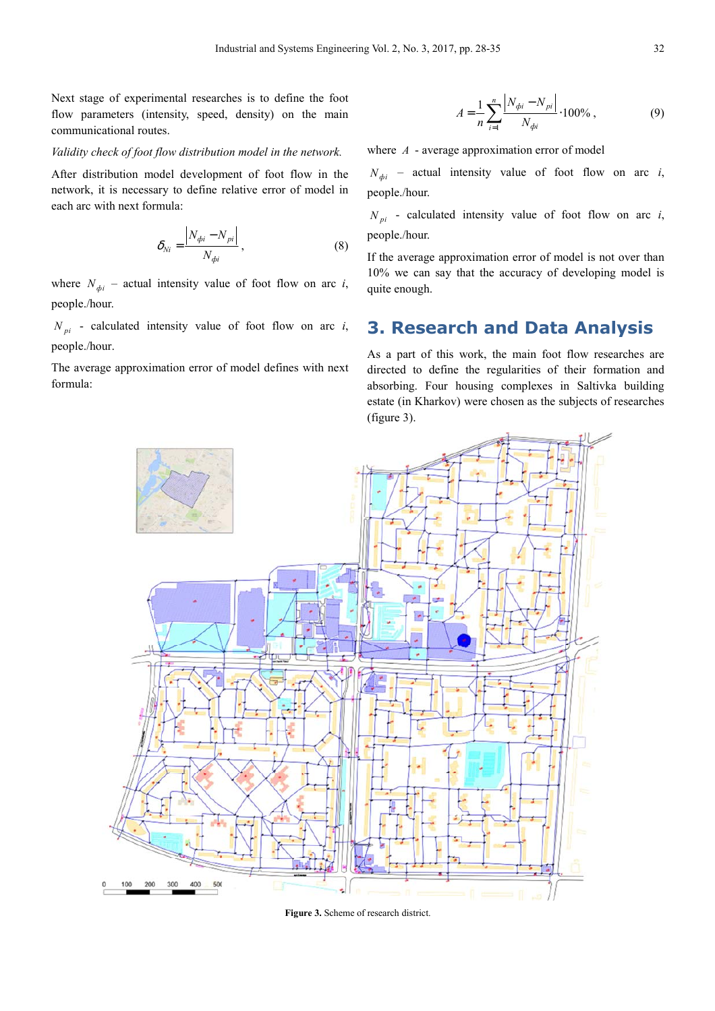Next stage of experimental researches is to define the foot flow parameters (intensity, speed, density) on the main communicational routes.

#### *Validity check of foot flow distribution model in the network.*

After distribution model development of foot flow in the network, it is necessary to define relative error of model in each arc with next formula:

$$
\delta_{Ni} = \frac{\left| N_{\phi i} - N_{\rho i} \right|}{N_{\phi i}},\tag{8}
$$

where  $N_{\phi i}$  – actual intensity value of foot flow on arc *i*, people./hour.

 $N_{pi}$  - calculated intensity value of foot flow on arc *i*, people./hour.

The average approximation error of model defines with next formula:

$$
A = \frac{1}{n} \sum_{i=1}^{n} \frac{|N_{\phi i} - N_{\rho i}|}{N_{\phi i}} \cdot 100\%,
$$
 (9)

where *A* - average approximation error of model

 $N_{di}$  – actual intensity value of foot flow on arc *i*, people./hour.

 $N_{pi}$  - calculated intensity value of foot flow on arc *i*, people./hour.

If the average approximation error of model is not over than 10% we can say that the accuracy of developing model is quite enough.

### **3. Research and Data Analysis**

As a part of this work, the main foot flow researches are directed to define the regularities of their formation and absorbing. Four housing complexes in Saltivka building estate (in Kharkov) were chosen as the subjects of researches (figure 3).



**Figure 3.** Scheme of research district.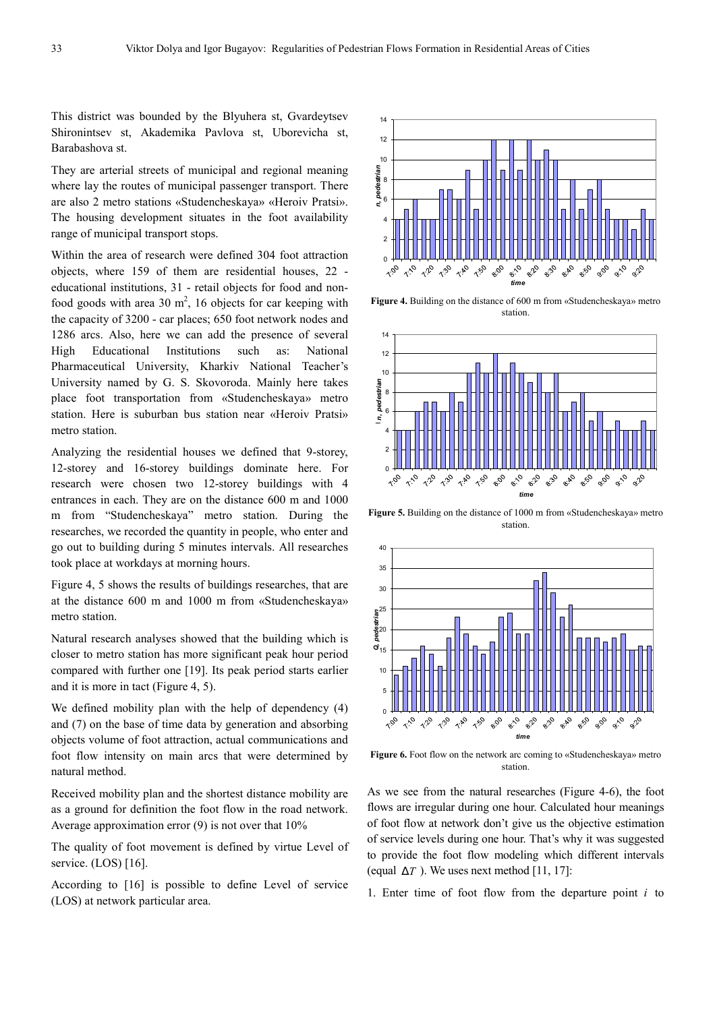This district was bounded by the Blyuhera st, Gvardeytsev Shironintsev st, Akademika Pavlova st, Uborevicha st, Barabashova st.

They are arterial streets of municipal and regional meaning where lay the routes of municipal passenger transport. There are also 2 metro stations «Studencheskaya» «Heroiv Pratsi». The housing development situates in the foot availability range of municipal transport stops.

Within the area of research were defined 304 foot attraction objects, where 159 of them are residential houses, 22 educational institutions, 31 - retail objects for food and nonfood goods with area 30  $m^2$ , 16 objects for car keeping with the capacity of 3200 - car places; 650 foot network nodes and 1286 arcs. Also, here we can add the presence of several High Educational Institutions such as: National Pharmaceutical University, Kharkiv National Teacher's University named by G. S. Skovoroda. Mainly here takes place foot transportation from «Studencheskaya» metro station. Here is suburban bus station near «Heroiv Pratsi» metro station.

Analyzing the residential houses we defined that 9-storey, 12-storey and 16-storey buildings dominate here. For research were chosen two 12-storey buildings with 4 entrances in each. They are on the distance 600 m and 1000 m from "Studencheskaya" metro station. During the researches, we recorded the quantity in people, who enter and go out to building during 5 minutes intervals. All researches took place at workdays at morning hours.

Figure 4, 5 shows the results of buildings researches, that are at the distance 600 m and 1000 m from «Studencheskaya» metro station.

Natural research analyses showed that the building which is closer to metro station has more significant peak hour period compared with further one [19]. Its peak period starts earlier and it is more in tact (Figure 4, 5).

We defined mobility plan with the help of dependency  $(4)$ and (7) on the base of time data by generation and absorbing objects volume of foot attraction, actual communications and foot flow intensity on main arcs that were determined by natural method.

Received mobility plan and the shortest distance mobility are as a ground for definition the foot flow in the road network. Average approximation error (9) is not over that 10%

The quality of foot movement is defined by virtue Level of service. (LOS) [16].

According to [16] is possible to define Level of service (LOS) at network particular area.



**Figure 4.** Building on the distance of 600 m from «Studencheskaya» metro station.



**Figure 5.** Building on the distance of 1000 m from «Studencheskaya» metro station.



Figure 6. Foot flow on the network arc coming to «Studencheskaya» metro station.

As we see from the natural researches (Figure 4-6), the foot flows are irregular during one hour. Calculated hour meanings of foot flow at network don't give us the objective estimation of service levels during one hour. That's why it was suggested to provide the foot flow modeling which different intervals (equal  $\Delta T$ ). We uses next method [11, 17]:

1. Enter time of foot flow from the departure point *i* to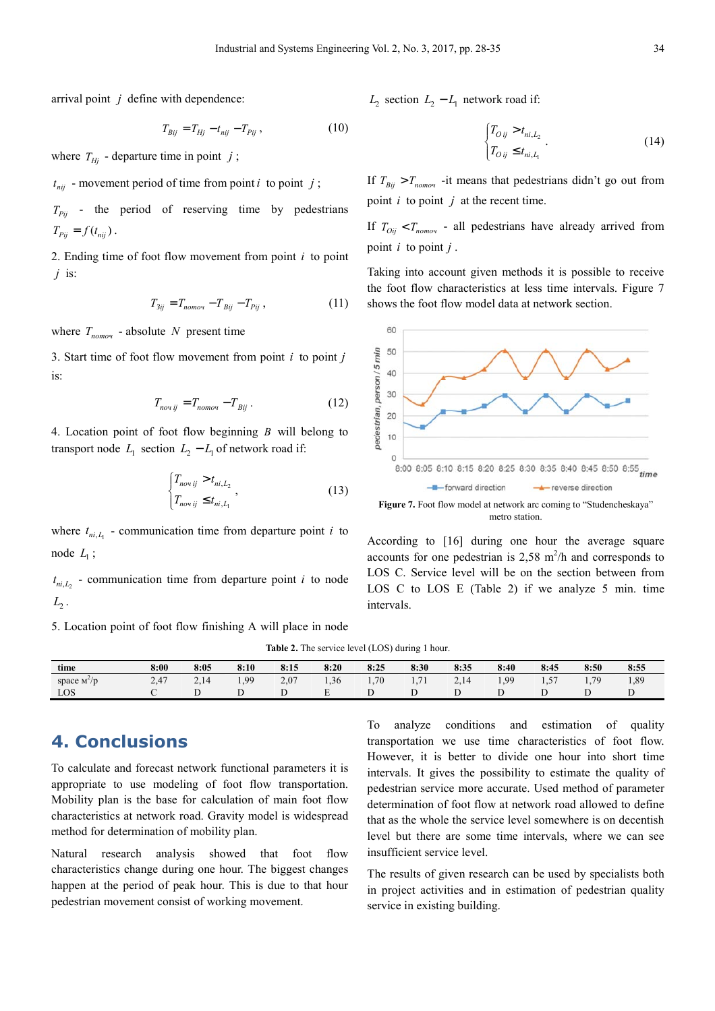arrival point *j* define with dependence:

$$
T_{Bij} = T_{Hj} - t_{nij} - T_{Pij} \,, \tag{10}
$$

where  $T_{Hi}$  - departure time in point *j*;

 $t_{nij}$  - movement period of time from point *i* to point *j*;

 $T_{pi}$  - the period of reserving time by pedestrians  $T_{Pii} = f(t_{nii})$ .

2. Ending time of foot flow movement from point *i* to point *j* is:

$$
T_{3ij} = T_{nomou} - T_{Bij} - T_{Pij} \,,\tag{11}
$$

where  $T_{\text{nomoy}}$  - absolute N present time

3. Start time of foot flow movement from point *i* to point *j* is:

$$
T_{novij} = T_{nomov} - T_{Bij} \,. \tag{12}
$$

4. Location point of foot flow beginning *B* will belong to transport node  $L_1$  section  $L_2 - L_1$  of network road if:

$$
\begin{cases} T_{novij} > t_{ni,L_2} \\ T_{novij} \le t_{ni,L_1} \end{cases},\tag{13}
$$

where  $t_{ni, L_1}$  - communication time from departure point *i* to node  $L_1$ ;

 $t_{ni,L_2}$  - communication time from departure point *i* to node  $L_{2}$  .

5. Location point of foot flow finishing A will place in node

 $L_2$  section  $L_2 - L_1$  network road if:

$$
\begin{cases}\nT_{Oij} > t_{ni,L_2} \\
T_{Oij} \le t_{ni,L_1}\n\end{cases}.\n\tag{14}
$$

If  $T_{Bii} > T_{nomov}$  -it means that pedestrians didn't go out from point *i* to point *j* at the recent time.

If  $T_{Oij} < T_{nomov}$  - all pedestrians have already arrived from point  $i$  to point  $j$ .

Taking into account given methods it is possible to receive the foot flow characteristics at less time intervals. Figure 7 shows the foot flow model data at network section.



According to [16] during one hour the average square accounts for one pedestrian is  $2,58$  m<sup>2</sup>/h and corresponds to LOS C. Service level will be on the section between from LOS C to LOS E (Table 2) if we analyze 5 min. time intervals.

|  |  | <b>Table 2.</b> The service level (LOS) during 1 hour. |  |  |  |
|--|--|--------------------------------------------------------|--|--|--|
|--|--|--------------------------------------------------------|--|--|--|

| time          | 8:00 | 8:05 | 8:10 | 8:15 | 8:20           | 8:25 | 8:30            | 8:35            | 8:40 | 8:45     | 8:50 | 8:55 |
|---------------|------|------|------|------|----------------|------|-----------------|-----------------|------|----------|------|------|
| space $M^2/D$ | 2.47 | 4.1  | 1.99 | 2.07 | $\sim$<br>1.30 | 1.70 | 71<br>$\cdot$ . | 214<br>$\sim$ . | 1,99 | $-$<br>. | 70   | 1,89 |
| LOS           |      |      |      |      | -              |      |                 |                 |      |          | ∸    |      |

# **4. Conclusions**

To calculate and forecast network functional parameters it is appropriate to use modeling of foot flow transportation. Mobility plan is the base for calculation of main foot flow characteristics at network road. Gravity model is widespread method for determination of mobility plan.

Natural research analysis showed that foot flow characteristics change during one hour. The biggest changes happen at the period of peak hour. This is due to that hour pedestrian movement consist of working movement.

To analyze conditions and estimation of quality transportation we use time characteristics of foot flow. However, it is better to divide one hour into short time intervals. It gives the possibility to estimate the quality of pedestrian service more accurate. Used method of parameter determination of foot flow at network road allowed to define that as the whole the service level somewhere is on decentish level but there are some time intervals, where we can see insufficient service level.

The results of given research can be used by specialists both in project activities and in estimation of pedestrian quality service in existing building.